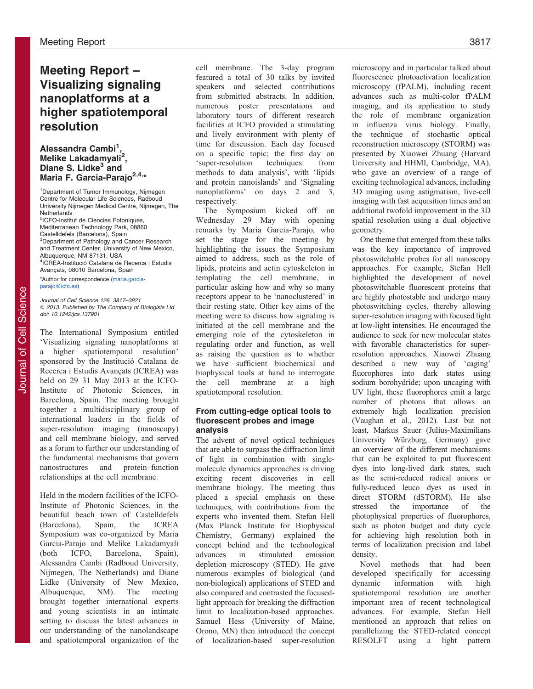# Meeting Report – Visualizing signaling nanoplatforms at a higher spatiotemporal resolution

Alessandra Cambi<sup>1</sup>, Melike Lakadamyali<sup>2</sup>, Diane S. Lidke<sup>3</sup> and Maria F. Garcia-Parajo<sup>2,4,\*</sup>

<sup>1</sup>Department of Tumor Immunology, Nijmegen Centre for Molecular Life Sciences, Radboud University Nijmegen Medical Centre, Nijmegen, The **Netherlands** <sup>2</sup>ICFO-Institut de Ciencies Fotoniques, Mediterranean Technology Park, 08860 Castelldefels (Barcelona), Spain <sup>3</sup>Department of Pathology and Cancer Research and Treatment Center, University of New Mexico, Albuquerque, NM 87131, USA <sup>4</sup>ICREA-Institució Catalana de Recerca i Estudis Avançats, 08010 Barcelona, Spain \*Author for correspondence ([maria.garcia](mailto:maria.garcia-parajo@icfo.es)[parajo@icfo.es\)](mailto:maria.garcia-parajo@icfo.es)

Journal of Cell Science 126, 3817–3821 © 2013. Published by The Company of Biologists Ltd doi: 10.1242/jcs.137901

The International Symposium entitled 'Visualizing signaling nanoplatforms at a higher spatiotemporal resolution' sponsored by the Institució Catalana de Recerca i Estudis Avançats (ICREA) was held on 29–31 May 2013 at the ICFO-Institute of Photonic Sciences, in Barcelona, Spain. The meeting brought together a multidisciplinary group of international leaders in the fields of super-resolution imaging (nanoscopy) and cell membrane biology, and served as a forum to further our understanding of the fundamental mechanisms that govern nanostructures and protein–function relationships at the cell membrane.

Held in the modern facilities of the ICFO-Institute of Photonic Sciences, in the beautiful beach town of Castelldefels (Barcelona), Spain, the ICREA Symposium was co-organized by Maria Garcia-Parajo and Melike Lakadamyali (both ICFO, Barcelona, Spain), Alessandra Cambi (Radboud University, Nijmegen, The Netherlands) and Diane Lidke (University of New Mexico, Albuquerque, NM). The meeting brought together international experts and young scientists in an intimate setting to discuss the latest advances in our understanding of the nanolandscape and spatiotemporal organization of the cell membrane. The 3-day program featured a total of 30 talks by invited speakers and selected contributions from submitted abstracts. In addition, numerous poster presentations and laboratory tours of different research facilities at ICFO provided a stimulating and lively environment with plenty of time for discussion. Each day focused on a specific topic; the first day on 'super-resolution techniques: from methods to data analysis', with 'lipids and protein nanoislands' and 'Signaling nanoplatforms' on days 2 and 3, respectively.

The Symposium kicked off on Wednesday 29 May with opening remarks by Maria Garcia-Parajo, who set the stage for the meeting by highlighting the issues the Symposium aimed to address, such as the role of lipids, proteins and actin cytoskeleton in templating the cell membrane, in particular asking how and why so many receptors appear to be 'nanoclustered' in their resting state. Other key aims of the meeting were to discuss how signaling is initiated at the cell membrane and the emerging role of the cytoskeleton in regulating order and function, as well as raising the question as to whether we have sufficient biochemical and biophysical tools at hand to interrogate the cell membrane at a high spatiotemporal resolution.

#### From cutting-edge optical tools to fluorescent probes and image analysis

The advent of novel optical techniques that are able to surpass the diffraction limit of light in combination with singlemolecule dynamics approaches is driving exciting recent discoveries in cell membrane biology. The meeting thus placed a special emphasis on these techniques, with contributions from the experts who invented them. Stefan Hell (Max Planck Institute for Biophysical Chemistry, Germany) explained the concept behind and the technological advances in stimulated emission depletion microscopy (STED). He gave numerous examples of biological (and non-biological) applications of STED and also compared and contrasted the focusedlight approach for breaking the diffraction limit to localization-based approaches. Samuel Hess (University of Maine, Orono, MN) then introduced the concept of localization-based super-resolution microscopy and in particular talked about fluorescence photoactivation localization microscopy (fPALM), including recent advances such as multi-color fPALM imaging, and its application to study the role of membrane organization in influenza virus biology. Finally, the technique of stochastic optical reconstruction microscopy (STORM) was presented by Xiaowei Zhuang (Harvard University and HHMI, Cambridge, MA), who gave an overview of a range of exciting technological advances, including 3D imaging using astigmatism, live-cell imaging with fast acquisition times and an additional twofold improvement in the 3D spatial resolution using a dual objective geometry.

One theme that emerged from these talks was the key importance of improved photoswitchable probes for all nanoscopy approaches. For example, Stefan Hell highlighted the development of novel photoswitchable fluorescent proteins that are highly photostable and undergo many photoswitching cycles, thereby allowing super-resolution imaging with focused light at low-light intensities. He encouraged the audience to seek for new molecular states with favorable characteristics for superresolution approaches. Xiaowei Zhuang described a new way of 'caging' fluorophores into dark states using sodium borohydride; upon uncaging with UV light, these fluorophores emit a large number of photons that allows an extremely high localization precision ([Vaughan et al., 2012](#page-4-0)). Last but not least, Markus Sauer (Julius-Maximilians University Würzburg, Germany) gave an overview of the different mechanisms that can be exploited to put fluorescent dyes into long-lived dark states, such as the semi-reduced radical anions or fully-reduced leuco dyes as used in direct STORM (dSTORM). He also stressed the importance of the photophysical properties of fluorophores, such as photon budget and duty cycle for achieving high resolution both in terms of localization precision and label density.

Novel methods that had been developed specifically for accessing dynamic information with high spatiotemporal resolution are another important area of recent technological advances. For example, Stefan Hell mentioned an approach that relies on parallelizing the STED-related concept RESOLFT using a light pattern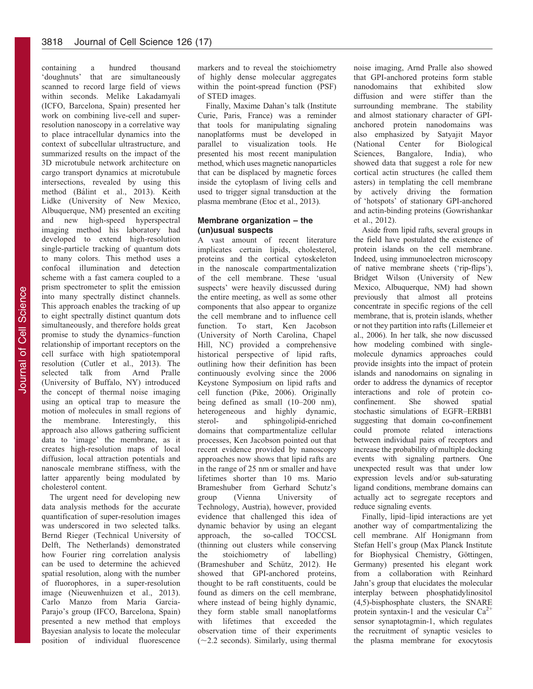containing a hundred thousand 'doughnuts' that are simultaneously scanned to record large field of views within seconds. Melike Lakadamyali (ICFO, Barcelona, Spain) presented her work on combining live-cell and superresolution nanoscopy in a correlative way to place intracellular dynamics into the context of subcellular ultrastructure, and summarized results on the impact of the 3D microtubule network architecture on cargo transport dynamics at microtubule intersections, revealed by using this method (Bálint et al., 2013). Keith Lidke (University of New Mexico, Albuquerque, NM) presented an exciting and new high-speed hyperspectral imaging method his laboratory had developed to extend high-resolution single-particle tracking of quantum dots to many colors. This method uses a confocal illumination and detection scheme with a fast camera coupled to a prism spectrometer to split the emission into many spectrally distinct channels. This approach enables the tracking of up to eight spectrally distinct quantum dots simultaneously, and therefore holds great promise to study the dynamics–function relationship of important receptors on the cell surface with high spatiotemporal resolution [\(Cutler et al., 2013\)](#page-4-0). The selected talk from Arnd Pralle (University of Buffalo, NY) introduced the concept of thermal noise imaging using an optical trap to measure the motion of molecules in small regions of the membrane. Interestingly, this approach also allows gathering sufficient data to 'image' the membrane, as it creates high-resolution maps of local diffusion, local attraction potentials and nanoscale membrane stiffness, with the latter apparently being modulated by cholesterol content.

The urgent need for developing new data analysis methods for the accurate quantification of super-resolution images was underscored in two selected talks. Bernd Rieger (Technical University of Delft, The Netherlands) demonstrated how Fourier ring correlation analysis can be used to determine the achieved spatial resolution, along with the number of fluorophores, in a super-resolution image ([Nieuwenhuizen et al., 2013\)](#page-4-0). Carlo Manzo from Maria Garcia-Parajo's group (IFCO, Barcelona, Spain) presented a new method that employs Bayesian analysis to locate the molecular position of individual fluorescence

markers and to reveal the stoichiometry of highly dense molecular aggregates within the point-spread function (PSF) of STED images.

Finally, Maxime Dahan's talk (Institute Curie, Paris, France) was a reminder that tools for manipulating signaling nanoplatforms must be developed in parallel to visualization tools. He presented his most recent manipulation method, which uses magnetic nanoparticles that can be displaced by magnetic forces inside the cytoplasm of living cells and used to trigger signal transduction at the plasma membrane [\(Etoc et al., 2013](#page-4-0)).

## Membrane organization – the (un)usual suspects

A vast amount of recent literature implicates certain lipids, cholesterol, proteins and the cortical cytoskeleton in the nanoscale compartmentalization of the cell membrane. These 'usual suspects' were heavily discussed during the entire meeting, as well as some other components that also appear to organize the cell membrane and to influence cell function. To start, Ken Jacobson (University of North Carolina, Chapel Hill, NC) provided a comprehensive historical perspective of lipid rafts, outlining how their definition has been continuously evolving since the 2006 Keystone Symposium on lipid rafts and cell function ([Pike, 2006\)](#page-4-0). Originally being defined as small (10–200 nm), heterogeneous and highly dynamic, sterol- and sphingolipid-enriched domains that compartmentalize cellular processes, Ken Jacobson pointed out that recent evidence provided by nanoscopy approaches now shows that lipid rafts are in the range of 25 nm or smaller and have lifetimes shorter than 10 ms. Mario Brameshuber from Gerhard Schutz's group (Vienna University of Technology, Austria), however, provided evidence that challenged this idea of dynamic behavior by using an elegant approach, the so-called TOCCSL (thinning out clusters while conserving the stoichiometry of labelling) (Brameshuber and Schütz, 2012). He showed that GPI-anchored proteins, thought to be raft constituents, could be found as dimers on the cell membrane, where instead of being highly dynamic, they form stable small nanoplatforms with lifetimes that exceeded the observation time of their experiments  $(\sim$ 2.2 seconds). Similarly, using thermal

noise imaging, Arnd Pralle also showed that GPI-anchored proteins form stable nanodomains that exhibited slow diffusion and were stiffer than the surrounding membrane. The stability and almost stationary character of GPIanchored protein nanodomains was also emphasized by Satyajit Mayor (National Center for Biological Sciences, Bangalore, India), who showed data that suggest a role for new cortical actin structures (he called them asters) in templating the cell membrane by actively driving the formation of 'hotspots' of stationary GPI-anchored and actin-binding proteins [\(Gowrishankar](#page-4-0) [et al., 2012](#page-4-0)).

Aside from lipid rafts, several groups in the field have postulated the existence of protein islands on the cell membrane. Indeed, using immunoelectron microscopy of native membrane sheets ('rip-flips'), Bridget Wilson (University of New Mexico, Albuquerque, NM) had shown previously that almost all proteins concentrate in specific regions of the cell membrane, that is, protein islands, whether or not they partition into rafts ([Lillemeier et](#page-4-0) [al., 2006\)](#page-4-0). In her talk, she now discussed how modeling combined with singlemolecule dynamics approaches could provide insights into the impact of protein islands and nanodomains on signaling in order to address the dynamics of receptor interactions and role of protein coconfinement. She showed spatial stochastic simulations of EGFR–ERBB1 suggesting that domain co-confinement could promote related interactions between individual pairs of receptors and increase the probability of multiple docking events with signaling partners. One unexpected result was that under low expression levels and/or sub-saturating ligand conditions, membrane domains can actually act to segregate receptors and reduce signaling events.

Finally, lipid–lipid interactions are yet another way of compartmentalizing the cell membrane. Alf Honigmann from Stefan Hell's group (Max Planck Institute for Biophysical Chemistry, Göttingen, Germany) presented his elegant work from a collaboration with Reinhard Jahn's group that elucidates the molecular interplay between phosphatidylinositol (4,5)-bisphosphate clusters, the SNARE protein syntaxin-1 and the vesicular  $Ca^{2+}$ sensor synaptotagmin-1, which regulates the recruitment of synaptic vesicles to the plasma membrane for exocytosis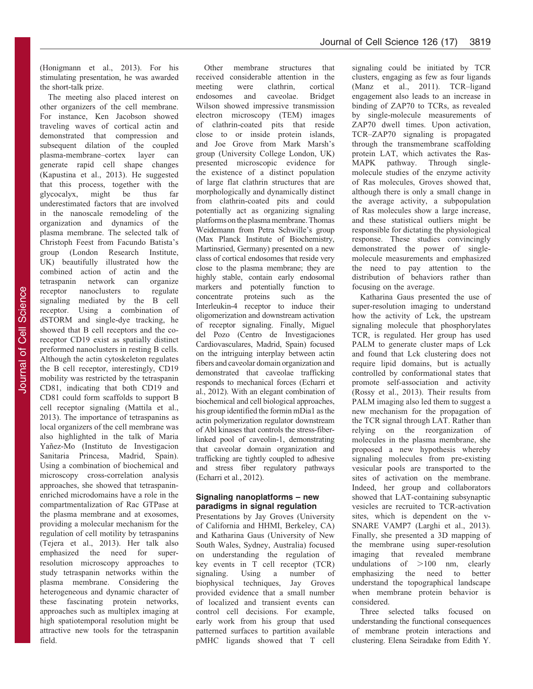([Honigmann et al., 2013](#page-4-0)). For his stimulating presentation, he was awarded the short-talk prize.

The meeting also placed interest on other organizers of the cell membrane. For instance, Ken Jacobson showed traveling waves of cortical actin and demonstrated that compression and subsequent dilation of the coupled plasma-membrane–cortex layer can generate rapid cell shape changes ([Kapustina et al., 2013\)](#page-4-0). He suggested that this process, together with the glycocalyx, might be thus far underestimated factors that are involved in the nanoscale remodeling of the organization and dynamics of the plasma membrane. The selected talk of Christoph Feest from Facundo Batista's group (London Research Institute, UK) beautifully illustrated how the combined action of actin and the tetraspanin network can organize receptor nanoclusters to regulate signaling mediated by the B cell receptor. Using a combination of dSTORM and single-dye tracking, he showed that B cell receptors and the coreceptor CD19 exist as spatially distinct preformed nanoclusters in resting B cells. Although the actin cytoskeleton regulates the B cell receptor, interestingly, CD19 mobility was restricted by the tetraspanin CD81, indicating that both CD19 and CD81 could form scaffolds to support B cell receptor signaling ([Mattila et al.,](#page-4-0) [2013\)](#page-4-0). The importance of tetraspanins as local organizers of the cell membrane was also highlighted in the talk of Maria Yañez-Mo (Instituto de Investigacion Sanitaria Princesa, Madrid, Spain). Using a combination of biochemical and microscopy cross-correlation analysis approaches, she showed that tetraspaninenriched microdomains have a role in the compartmentalization of Rac GTPase at the plasma membrane and at exosomes, providing a molecular mechanism for the regulation of cell motility by tetraspanins ([Tejera et al., 2013](#page-4-0)). Her talk also emphasized the need for superresolution microscopy approaches to study tetraspanin networks within the plasma membrane. Considering the heterogeneous and dynamic character of these fascinating protein networks, approaches such as multiplex imaging at high spatiotemporal resolution might be attractive new tools for the tetraspanin field.

Other membrane structures that received considerable attention in the meeting were clathrin, cortical endosomes and caveolae. Bridget Wilson showed impressive transmission electron microscopy (TEM) images of clathrin-coated pits that reside close to or inside protein islands, and Joe Grove from Mark Marsh's group (University College London, UK) presented microscopic evidence for the existence of a distinct population of large flat clathrin structures that are morphologically and dynamically distinct from clathrin-coated pits and could potentially act as organizing signaling platforms onthe plasma membrane. Thomas Weidemann from Petra Schwille's group (Max Planck Institute of Biochemistry, Martinsried, Germany) presented on a new class of cortical endosomes that reside very close to the plasma membrane; they are highly stable, contain early endosomal markers and potentially function to concentrate proteins such as the Interleukin-4 receptor to induce their oligomerization and downstream activation of receptor signaling. Finally, Miguel del Pozo (Centro de Investigaciones Cardiovasculares, Madrid, Spain) focused on the intriguing interplay between actin fibers and caveolar domain organization and demonstrated that caveolae trafficking responds to mechanical forces [\(Echarri et](#page-4-0) [al., 2012](#page-4-0)). With an elegant combination of biochemical and cell biological approaches, his group identified the formin mDia1 as the actin polymerization regulator downstream of Abl kinases that controls the stress-fiberlinked pool of caveolin-1, demonstrating that caveolar domain organization and trafficking are tightly coupled to adhesive and stress fiber regulatory pathways [\(Echarri et al., 2012](#page-4-0)).

# Signaling nanoplatforms – new paradigms in signal regulation

Presentations by Jay Groves (University of California and HHMI, Berkeley, CA) and Katharina Gaus (University of New South Wales, Sydney, Australia) focused on understanding the regulation of key events in T cell receptor (TCR) signaling. Using a number of biophysical techniques, Jay Groves provided evidence that a small number of localized and transient events can control cell decisions. For example, early work from his group that used patterned surfaces to partition available pMHC ligands showed that T cell

signaling could be initiated by TCR clusters, engaging as few as four ligands ([Manz et al., 2011](#page-4-0)). TCR–ligand engagement also leads to an increase in binding of ZAP70 to TCRs, as revealed by single-molecule measurements of ZAP70 dwell times. Upon activation, TCR–ZAP70 signaling is propagated through the transmembrane scaffolding protein LAT, which activates the Ras-MAPK pathway. Through singlemolecule studies of the enzyme activity of Ras molecules, Groves showed that, although there is only a small change in the average activity, a subpopulation of Ras molecules show a large increase, and these statistical outliers might be responsible for dictating the physiological response. These studies convincingly demonstrated the power of singlemolecule measurements and emphasized the need to pay attention to the distribution of behaviors rather than focusing on the average.

Katharina Gaus presented the use of super-resolution imaging to understand how the activity of Lck, the upstream signaling molecule that phosphorylates TCR, is regulated. Her group has used PALM to generate cluster maps of Lck and found that Lck clustering does not require lipid domains, but is actually controlled by conformational states that promote self-association and activity ([Rossy et al., 2013](#page-4-0)). Their results from PALM imaging also led them to suggest a new mechanism for the propagation of the TCR signal through LAT. Rather than relying on the reorganization of molecules in the plasma membrane, she proposed a new hypothesis whereby signaling molecules from pre-existing vesicular pools are transported to the sites of activation on the membrane. Indeed, her group and collaborators showed that LAT-containing subsynaptic vesicles are recruited to TCR-activation sites, which is dependent on the v-SNARE VAMP7 ([Larghi et al., 2013](#page-4-0)). Finally, she presented a 3D mapping of the membrane using super-resolution imaging that revealed membrane undulations of  $>100$  nm, clearly emphasizing the need to better understand the topographical landscape when membrane protein behavior is considered.

Three selected talks focused on understanding the functional consequences of membrane protein interactions and clustering. Elena Seiradake from Edith Y.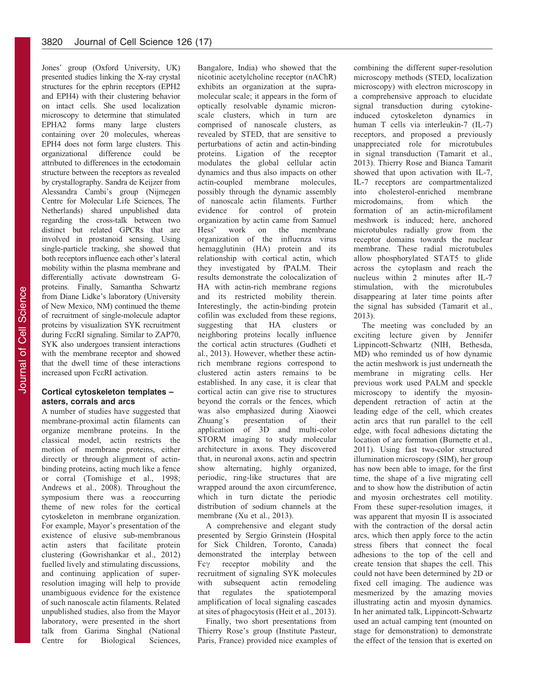Jones' group (Oxford University, UK) presented studies linking the X-ray crystal structures for the ephrin receptors (EPH2 and EPH4) with their clustering behavior on intact cells. She used localization microscopy to determine that stimulated EPHA2 forms many large clusters containing over 20 molecules, whereas EPH4 does not form large clusters. This organizational difference could be attributed to differences in the ectodomain structure between the receptors as revealed by crystallography. Sandra de Keijzer from Alessandra Cambi's group (Nijmegen Centre for Molecular Life Sciences, The Netherlands) shared unpublished data regarding the cross-talk between two distinct but related GPCRs that are involved in prostanoid sensing. Using single-particle tracking, she showed that both receptors influence each other's lateral mobility within the plasma membrane and differentially activate downstream Gproteins. Finally, Samantha Schwartz from Diane Lidke's laboratory (University of New Mexico, NM) continued the theme of recruitment of single-molecule adaptor proteins by visualization SYK recruitment during FceRI signaling. Similar to ZAP70, SYK also undergoes transient interactions with the membrane receptor and showed that the dwell time of these interactions increased upon FceRI activation.

# Cortical cytoskeleton templates – asters, corrals and arcs

A number of studies have suggested that membrane-proximal actin filaments can organize membrane proteins. In the classical model, actin restricts the motion of membrane proteins, either directly or through alignment of actinbinding proteins, acting much like a fence or corral [\(Tomishige et al., 1998;](#page-4-0) [Andrews et al., 2008\)](#page-4-0). Throughout the symposium there was a reoccurring theme of new roles for the cortical cytoskeleton in membrane organization. For example, Mayor's presentation of the existence of elusive sub-membranous actin asters that facilitate protein clustering ([Gowrishankar et al., 2012](#page-4-0)) fuelled lively and stimulating discussions, and continuing application of superresolution imaging will help to provide unambiguous evidence for the existence of such nanoscale actin filaments. Related unpublished studies, also from the Mayor laboratory, were presented in the short talk from Garima Singhal (National Centre for Biological Sciences,

Bangalore, India) who showed that the nicotinic acetylcholine receptor (nAChR) exhibits an organization at the supramolecular scale; it appears in the form of optically resolvable dynamic micronscale clusters, which in turn are comprised of nanoscale clusters, as revealed by STED, that are sensitive to perturbations of actin and actin-binding proteins. Ligation of the receptor modulates the global cellular actin dynamics and thus also impacts on other actin-coupled membrane molecules, possibly through the dynamic assembly of nanoscale actin filaments. Further evidence for control of protein organization by actin came from Samuel Hess' work on the membrane organization of the influenza virus hemagglutinin (HA) protein and its relationship with cortical actin, which they investigated by fPALM. Their results demonstrate the colocalization of HA with actin-rich membrane regions and its restricted mobility therein. Interestingly, the actin-binding protein cofilin was excluded from these regions, suggesting that HA clusters or neighboring proteins locally influence the cortical actin structures [\(Gudheti et](#page-4-0) [al., 2013\)](#page-4-0). However, whether these actinrich membrane regions correspond to clustered actin asters remains to be established. In any case, it is clear that cortical actin can give rise to structures beyond the corrals or the fences, which was also emphasized during Xiaowei Zhuang's presentation of their application of 3D and multi-color STORM imaging to study molecular architecture in axons. They discovered that, in neuronal axons, actin and spectrin show alternating, highly organized, periodic, ring-like structures that are wrapped around the axon circumference, which in turn dictate the periodic distribution of sodium channels at the membrane ([Xu et al., 2013\)](#page-4-0).

A comprehensive and elegant study presented by Sergio Grinstein (Hospital for Sick Children, Toronto, Canada) demonstrated the interplay between  $Fc\gamma$  receptor mobility and the recruitment of signaling SYK molecules with subsequent actin remodeling that regulates the spatiotemporal amplification of local signaling cascades at sites of phagocytosis [\(Heit et al., 2013](#page-4-0)).

Finally, two short presentations from Thierry Rose's group (Institute Pasteur, Paris, France) provided nice examples of combining the different super-resolution microscopy methods (STED, localization microscopy) with electron microscopy in a comprehensive approach to elucidate signal transduction during cytokineinduced cytoskeleton dynamics in human T cells via interleukin-7 (IL-7) receptors, and proposed a previously unappreciated role for microtubules in signal transduction ([Tamarit et al.,](#page-4-0) [2013](#page-4-0)). Thierry Rose and Bianca Tamarit showed that upon activation with IL-7, IL-7 receptors are compartmentalized into cholesterol-enriched membrane microdomains, from which the formation of an actin-microfilament meshwork is induced; here, anchored microtubules radially grow from the receptor domains towards the nuclear membrane. These radial microtubules allow phosphorylated STAT5 to glide across the cytoplasm and reach the nucleus within 2 minutes after IL-7 stimulation, with the microtubules disappearing at later time points after the signal has subsided [\(Tamarit et al.,](#page-4-0) [2013](#page-4-0)).

The meeting was concluded by an exciting lecture given by Jennifer Lippincott-Schwartz (NIH, Bethesda, MD) who reminded us of how dynamic the actin meshwork is just underneath the membrane in migrating cells. Her previous work used PALM and speckle microscopy to identify the myosindependent retraction of actin at the leading edge of the cell, which creates actin arcs that run parallel to the cell edge, with focal adhesions dictating the location of arc formation ([Burnette et al.,](#page-4-0) [2011](#page-4-0)). Using fast two-color structured illumination microscopy (SIM), her group has now been able to image, for the first time, the shape of a live migrating cell and to show how the distribution of actin and myosin orchestrates cell motility. From these super-resolution images, it was apparent that myosin II is associated with the contraction of the dorsal actin arcs, which then apply force to the actin stress fibers that connect the focal adhesions to the top of the cell and create tension that shapes the cell. This could not have been determined by 2D or fixed cell imaging. The audience was mesmerized by the amazing movies illustrating actin and myosin dynamics. In her animated talk, Lippincott-Schwartz used an actual camping tent (mounted on stage for demonstration) to demonstrate the effect of the tension that is exerted on